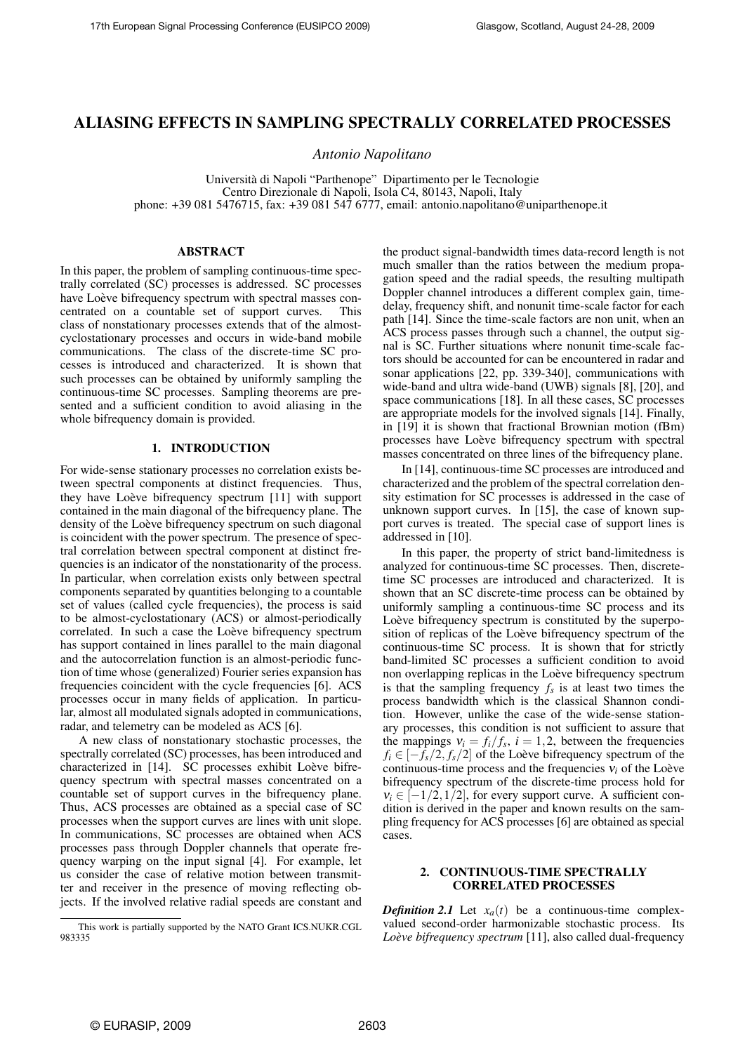# ALIASING EFFECTS IN SAMPLING SPECTRALLY CORRELATED PROCESSES

*Antonio Napolitano*

Universita di Napoli "Parthenope" Dipartimento per le Tecnologie ` Centro Direzionale di Napoli, Isola C4, 80143, Napoli, Italy phone: +39 081 5476715, fax: +39 081 547 6777, email: antonio.napolitano@uniparthenope.it

# ABSTRACT

In this paper, the problem of sampling continuous-time spectrally correlated (SC) processes is addressed. SC processes have Loève bifrequency spectrum with spectral masses concentrated on a countable set of support curves. This class of nonstationary processes extends that of the almostcyclostationary processes and occurs in wide-band mobile communications. The class of the discrete-time SC processes is introduced and characterized. It is shown that such processes can be obtained by uniformly sampling the continuous-time SC processes. Sampling theorems are presented and a sufficient condition to avoid aliasing in the whole bifrequency domain is provided.

## 1. INTRODUCTION

For wide-sense stationary processes no correlation exists between spectral components at distinct frequencies. Thus, they have Loève bifrequency spectrum [11] with support contained in the main diagonal of the bifrequency plane. The density of the Loève bifrequency spectrum on such diagonal is coincident with the power spectrum. The presence of spectral correlation between spectral component at distinct frequencies is an indicator of the nonstationarity of the process. In particular, when correlation exists only between spectral components separated by quantities belonging to a countable set of values (called cycle frequencies), the process is said to be almost-cyclostationary (ACS) or almost-periodically correlated. In such a case the Loève bifrequency spectrum has support contained in lines parallel to the main diagonal and the autocorrelation function is an almost-periodic function of time whose (generalized) Fourier series expansion has frequencies coincident with the cycle frequencies [6]. ACS processes occur in many fields of application. In particular, almost all modulated signals adopted in communications, radar, and telemetry can be modeled as ACS [6].

A new class of nonstationary stochastic processes, the spectrally correlated (SC) processes, has been introduced and characterized in [14]. SC processes exhibit Loève bifrequency spectrum with spectral masses concentrated on a countable set of support curves in the bifrequency plane. Thus, ACS processes are obtained as a special case of SC processes when the support curves are lines with unit slope. In communications, SC processes are obtained when ACS processes pass through Doppler channels that operate frequency warping on the input signal [4]. For example, let us consider the case of relative motion between transmitter and receiver in the presence of moving reflecting objects. If the involved relative radial speeds are constant and the product signal-bandwidth times data-record length is not much smaller than the ratios between the medium propagation speed and the radial speeds, the resulting multipath Doppler channel introduces a different complex gain, timedelay, frequency shift, and nonunit time-scale factor for each path [14]. Since the time-scale factors are non unit, when an ACS process passes through such a channel, the output signal is SC. Further situations where nonunit time-scale factors should be accounted for can be encountered in radar and sonar applications [22, pp. 339-340], communications with wide-band and ultra wide-band (UWB) signals [8], [20], and space communications [18]. In all these cases, SC processes are appropriate models for the involved signals [14]. Finally, in [19] it is shown that fractional Brownian motion (fBm) processes have Loève bifrequency spectrum with spectral masses concentrated on three lines of the bifrequency plane.

In [14], continuous-time SC processes are introduced and characterized and the problem of the spectral correlation density estimation for SC processes is addressed in the case of unknown support curves. In [15], the case of known support curves is treated. The special case of support lines is addressed in [10].

In this paper, the property of strict band-limitedness is analyzed for continuous-time SC processes. Then, discretetime SC processes are introduced and characterized. It is shown that an SC discrete-time process can be obtained by uniformly sampling a continuous-time SC process and its Loève bifrequency spectrum is constituted by the superposition of replicas of the Loève bifrequency spectrum of the continuous-time SC process. It is shown that for strictly band-limited SC processes a sufficient condition to avoid non overlapping replicas in the Loève bifrequency spectrum is that the sampling frequency  $f_s$  is at least two times the process bandwidth which is the classical Shannon condition. However, unlike the case of the wide-sense stationary processes, this condition is not sufficient to assure that the mappings  $v_i = f_i/f_s$ ,  $i = 1, 2$ , between the frequencies  $f_i \in [-f_s/2, f_s/2]$  of the Loève bifrequency spectrum of the continuous-time process and the frequencies  $v_i$  of the Loève bifrequency spectrum of the discrete-time process hold for  $v_i \in [-1/2, 1/2]$ , for every support curve. A sufficient condition is derived in the paper and known results on the sampling frequency for ACS processes [6] are obtained as special cases.

## 2. CONTINUOUS-TIME SPECTRALLY CORRELATED PROCESSES

*Definition 2.1* Let  $x_a(t)$  be a continuous-time complexvalued second-order harmonizable stochastic process. Its *Loeve bifrequency spectrum `* [11], also called dual-frequency

This work is partially supported by the NATO Grant ICS.NUKR.CGL 983335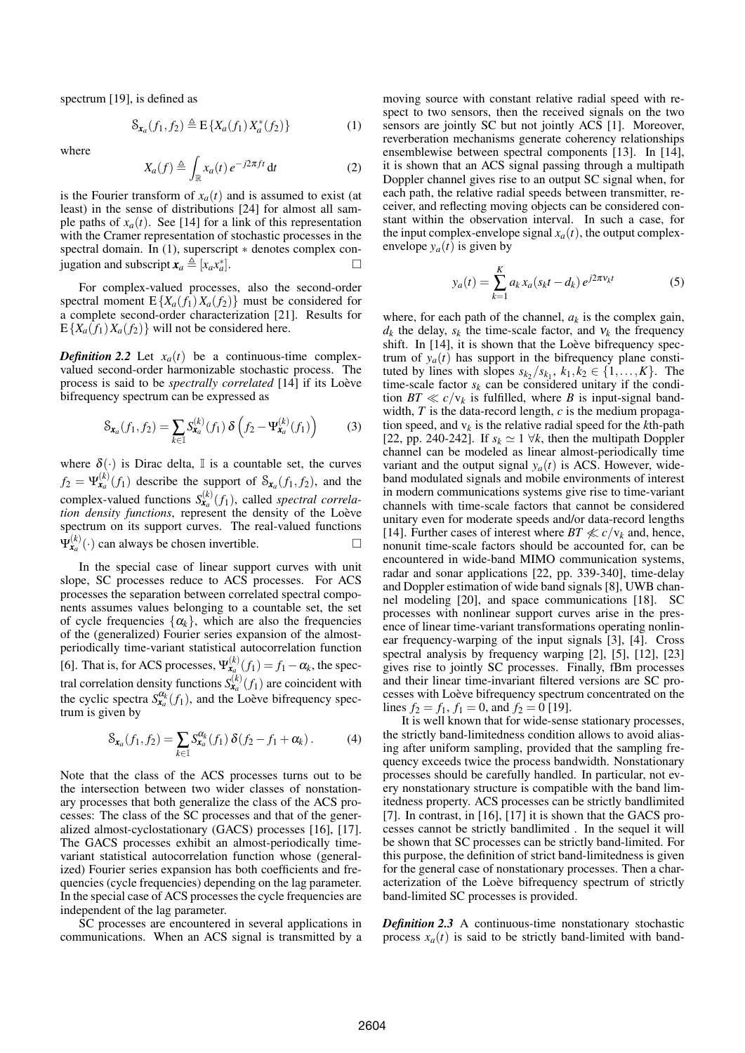spectrum [19], is defined as

$$
\mathcal{S}_{\mathbf{x}_a}(f_1, f_2) \triangleq \mathcal{E}\left\{X_a(f_1)X_a^*(f_2)\right\} \tag{1}
$$

where

$$
X_a(f) \triangleq \int_{\mathbb{R}} x_a(t) e^{-j2\pi ft} dt
$$
 (2)

is the Fourier transform of  $x_a(t)$  and is assumed to exist (at least) in the sense of distributions [24] for almost all sample paths of  $x_a(t)$ . See [14] for a link of this representation with the Cramer representation of stochastic processes in the spectral domain. In (1), superscript  $*$  denotes complex conjugation and subscript  $\mathbf{x}_a \triangleq [x_a x_a^*]$  $\Box$ 

For complex-valued processes, also the second-order spectral moment  $E\{X_a(f_1)X_a(f_2)\}\$  must be considered for a complete second-order characterization [21]. Results for  $E\{X_a(f_1)X_a(f_2)\}\$  will not be considered here.

*Definition 2.2* Let  $x_a(t)$  be a continuous-time complexvalued second-order harmonizable stochastic process. The process is said to be *spectrally correlated* [14] if its Loève bifrequency spectrum can be expressed as

$$
\mathcal{S}_{\mathbf{x}_a}(f_1, f_2) = \sum_{k \in \mathbb{I}} \mathcal{S}_{\mathbf{x}_a}^{(k)}(f_1) \, \delta \left( f_2 - \Psi_{\mathbf{x}_a}^{(k)}(f_1) \right) \tag{3}
$$

where  $\delta(\cdot)$  is Dirac delta, I is a countable set, the curves  $f_2 = \Psi_{\mathbf{x}_a}^{(k)}(f_1)$  describe the support of  $\mathcal{S}_{\mathbf{x}_a}(f_1, f_2)$ , and the complex-valued functions  $S_{\mathbf{x}_a}^{(k)}(f_1)$ , called *spectral correla*tion density functions, represent the density of the Loève spectrum on its support curves. The real-valued functions  $\Psi_{\mathbf{x}_a}^{(k)}(\cdot)$  can always be chosen invertible.

In the special case of linear support curves with unit slope, SC processes reduce to ACS processes. For ACS processes the separation between correlated spectral components assumes values belonging to a countable set, the set of cycle frequencies  $\{\alpha_k\}$ , which are also the frequencies of the (generalized) Fourier series expansion of the almostperiodically time-variant statistical autocorrelation function [6]. That is, for ACS processes,  $\Psi_{\mathbf{x}_a}^{(k)}(f_1) = f_1 - \alpha_k$ , the spectral correlation density functions  $S_{\mathbf{x}_a}^{(k)}(f_1)$  are coincident with the cyclic spectra  $S_{\mathbf{x}_a}^{\alpha_k}(f_1)$ , and the Loève bifrequency spectrum is given by

$$
\mathcal{S}_{\mathbf{x}_a}(f_1, f_2) = \sum_{k \in \mathbb{I}} \mathcal{S}_{\mathbf{x}_a}^{\alpha_k}(f_1) \, \delta(f_2 - f_1 + \alpha_k) \,. \tag{4}
$$

Note that the class of the ACS processes turns out to be the intersection between two wider classes of nonstationary processes that both generalize the class of the ACS processes: The class of the SC processes and that of the generalized almost-cyclostationary (GACS) processes [16], [17]. The GACS processes exhibit an almost-periodically timevariant statistical autocorrelation function whose (generalized) Fourier series expansion has both coefficients and frequencies (cycle frequencies) depending on the lag parameter. In the special case of ACS processes the cycle frequencies are independent of the lag parameter.

SC processes are encountered in several applications in communications. When an ACS signal is transmitted by a

moving source with constant relative radial speed with respect to two sensors, then the received signals on the two sensors are jointly SC but not jointly ACS [1]. Moreover, reverberation mechanisms generate coherency relationships ensemblewise between spectral components [13]. In [14], it is shown that an ACS signal passing through a multipath Doppler channel gives rise to an output SC signal when, for each path, the relative radial speeds between transmitter, receiver, and reflecting moving objects can be considered constant within the observation interval. In such a case, for the input complex-envelope signal  $x_a(t)$ , the output complexenvelope  $y_a(t)$  is given by

$$
y_a(t) = \sum_{k=1}^{K} a_k x_a (s_k t - d_k) e^{j2\pi v_k t}
$$
 (5)

where, for each path of the channel,  $a_k$  is the complex gain,  $d_k$  the delay,  $s_k$  the time-scale factor, and  $v_k$  the frequency shift. In  $[14]$ , it is shown that the Loève bifrequency spectrum of  $y_a(t)$  has support in the bifrequency plane constituted by lines with slopes  $s_{k_2}/s_{k_1}, k_1, k_2 \in \{1, \ldots, K\}$ . The time-scale factor  $s_k$  can be considered unitary if the condition  $BT \ll c/v_k$  is fulfilled, where *B* is input-signal bandwidth, *T* is the data-record length, *c* is the medium propagation speed, and  $v_k$  is the relative radial speed for the  $k$ th-path [22, pp. 240-242]. If  $s_k \simeq 1 \ \forall k$ , then the multipath Doppler channel can be modeled as linear almost-periodically time variant and the output signal  $y_a(t)$  is ACS. However, wideband modulated signals and mobile environments of interest in modern communications systems give rise to time-variant channels with time-scale factors that cannot be considered unitary even for moderate speeds and/or data-record lengths [14]. Further cases of interest where  $BT \nleq c/v_k$  and, hence, nonunit time-scale factors should be accounted for, can be encountered in wide-band MIMO communication systems, radar and sonar applications [22, pp. 339-340], time-delay and Doppler estimation of wide band signals [8], UWB channel modeling [20], and space communications [18]. SC processes with nonlinear support curves arise in the presence of linear time-variant transformations operating nonlinear frequency-warping of the input signals [3], [4]. Cross spectral analysis by frequency warping [2], [5], [12], [23] gives rise to jointly SC processes. Finally, fBm processes and their linear time-invariant filtered versions are SC processes with Loève bifrequency spectrum concentrated on the lines  $f_2 = f_1$ ,  $f_1 = 0$ , and  $f_2 = 0$  [19].

It is well known that for wide-sense stationary processes, the strictly band-limitedness condition allows to avoid aliasing after uniform sampling, provided that the sampling frequency exceeds twice the process bandwidth. Nonstationary processes should be carefully handled. In particular, not every nonstationary structure is compatible with the band limitedness property. ACS processes can be strictly bandlimited [7]. In contrast, in [16], [17] it is shown that the GACS processes cannot be strictly bandlimited . In the sequel it will be shown that SC processes can be strictly band-limited. For this purpose, the definition of strict band-limitedness is given for the general case of nonstationary processes. Then a characterization of the Loève bifrequency spectrum of strictly band-limited SC processes is provided.

*Definition 2.3* A continuous-time nonstationary stochastic process  $x_a(t)$  is said to be strictly band-limited with band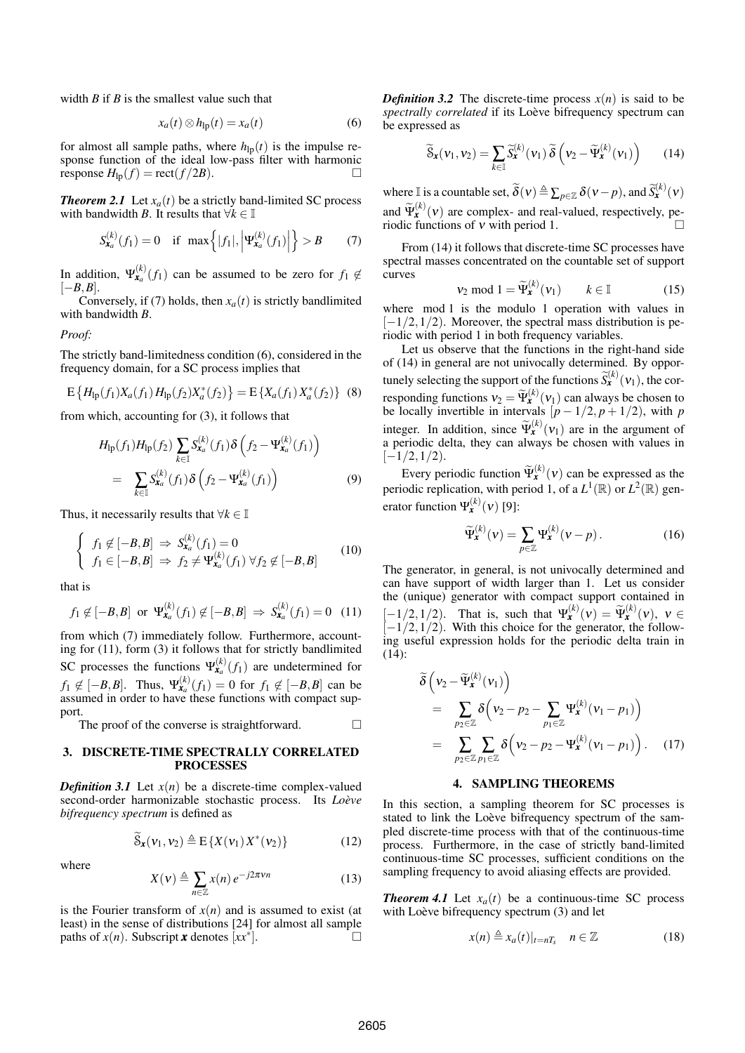width *B* if *B* is the smallest value such that

$$
x_a(t) \otimes h_{\rm lp}(t) = x_a(t) \tag{6}
$$

for almost all sample paths, where  $h_{lp}(t)$  is the impulse response function of the ideal low-pass filter with harmonic response  $H_{\text{lo}}(f) = \text{rect}(f/2B)$ .

*Theorem 2.1* Let  $x_a(t)$  be a strictly band-limited SC process with bandwidth *B*. It results that  $\forall k \in \mathbb{I}$ 

$$
S_{\mathbf{x}_a}^{(k)}(f_1) = 0 \quad \text{if } \max\left\{|f_1|, \left|\Psi_{\mathbf{x}_a}^{(k)}(f_1)\right|\right\} > B \tag{7}
$$

In addition,  $\Psi_{\mathbf{x}_a}^{(k)}(f_1)$  can be assumed to be zero for  $f_1 \notin$ [−*B*,*B*].

Conversely, if (7) holds, then  $x_a(t)$  is strictly bandlimited with bandwidth *B*.

*Proof:*

The strictly band-limitedness condition (6), considered in the frequency domain, for a SC process implies that

$$
E\left\{H_{lp}(f_1)X_a(f_1)H_{lp}(f_2)X_a^*(f_2)\right\} = E\left\{X_a(f_1)X_a^*(f_2)\right\}
$$
 (8)

from which, accounting for (3), it follows that

$$
H_{\rm lp}(f_1)H_{\rm lp}(f_2) \sum_{k \in \mathbb{I}} S_{\mathbf{x}_a}^{(k)}(f_1) \delta \left( f_2 - \Psi_{\mathbf{x}_a}^{(k)}(f_1) \right)
$$
  
= 
$$
\sum_{k \in \mathbb{I}} S_{\mathbf{x}_a}^{(k)}(f_1) \delta \left( f_2 - \Psi_{\mathbf{x}_a}^{(k)}(f_1) \right)
$$
(9)

Thus, it necessarily results that  $\forall k \in \mathbb{I}$ 

$$
\begin{cases}\nf_1 \notin [-B, B] \Rightarrow S_{\mathbf{x}_a}^{(k)}(f_1) = 0 \\
f_1 \in [-B, B] \Rightarrow f_2 \neq \Psi_{\mathbf{x}_a}^{(k)}(f_1) \,\forall f_2 \notin [-B, B]\n\end{cases} \tag{10}
$$

that is

$$
f_1 \notin [-B, B]
$$
 or  $\Psi_{\mathbf{x}_a}^{(k)}(f_1) \notin [-B, B] \Rightarrow S_{\mathbf{x}_a}^{(k)}(f_1) = 0$  (11)

from which (7) immediately follow. Furthermore, accounting for (11), form (3) it follows that for strictly bandlimited SC processes the functions  $\Psi_{\mathbf{x}_a}^{(k)}(f_1)$  are undetermined for *f*<sub>1</sub> ∉ [−*B*,*B*]. Thus,  $\Psi_{\mathbf{x}_a}^{(k)}(f_1) = 0$  for  $f_1 \notin [-B, B]$  can be assumed in order to have these functions with compact support.

The proof of the converse is straightforward.  $\Box$ 

## 3. DISCRETE-TIME SPECTRALLY CORRELATED **PROCESSES**

*Definition 3.1* Let  $x(n)$  be a discrete-time complex-valued second-order harmonizable stochastic process. Its *Loeve ` bifrequency spectrum* is defined as

$$
\widetilde{\mathcal{S}}_{\mathbf{x}}(\mathbf{v}_1, \mathbf{v}_2) \triangleq \mathrm{E}\left\{X(\mathbf{v}_1)X^*(\mathbf{v}_2)\right\} \tag{12}
$$

where

$$
X(v) \triangleq \sum_{n \in \mathbb{Z}} x(n) e^{-j2\pi v n}
$$
 (13)

is the Fourier transform of  $x(n)$  and is assumed to exist (at least) in the sense of distributions [24] for almost all sample paths of  $x(n)$ . Subscript *x* denotes  $[xx^*]$ .  $\Box$ 

*Definition 3.2* The discrete-time process  $x(n)$  is said to be *spectrally correlated* if its Loève bifrequency spectrum can be expressed as

$$
\widetilde{\mathcal{S}}_{\mathbf{x}}(\nu_1, \nu_2) = \sum_{k \in \mathbb{I}} \widetilde{\mathcal{S}}_{\mathbf{x}}^{(k)}(\nu_1) \, \widetilde{\delta} \left( \nu_2 - \widetilde{\Psi}_{\mathbf{x}}^{(k)}(\nu_1) \right) \tag{14}
$$

where I is a countable set,  $\widetilde{\delta}(v) \triangleq \sum_{p \in \mathbb{Z}} \delta(v-p)$ , and  $\widetilde{S}_{\mathbf{x}}^{(k)}(v)$ and  $\widetilde{\Psi}_{\mathbf{x}}^{(k)}(\mathbf{v})$  are complex- and real-valued, respectively, pe-

riodic functions of ν with period 1.

From (14) it follows that discrete-time SC processes have spectral masses concentrated on the countable set of support curves

$$
\mathsf{v}_2 \bmod 1 = \widetilde{\Psi}_{\mathbf{x}}^{(k)}(\mathsf{v}_1) \qquad k \in \mathbb{I} \tag{15}
$$

where mod 1 is the modulo 1 operation with values in  $[-1/2,1/2)$ . Moreover, the spectral mass distribution is periodic with period 1 in both frequency variables.

Let us observe that the functions in the right-hand side of (14) in general are not univocally determined. By opportunely selecting the support of the functions  $\widetilde{S}_{\mathbf{x}}^{(k)}(\mathbf{v}_1)$ , the corresponding functions  $v_2 = \tilde{\Psi}_k^{(k)}(v_1)$  can always be chosen to be locally invertible in intervals  $[p - 1/2, p + 1/2)$ , with *p* integer. In addition, since  $\widetilde{\Psi}_{\mathbf{x}}^{(k)}(\mathbf{v}_1)$  are in the argument of a periodic delta, they can always be chosen with values in  $[-1/2,1/2).$ 

Every periodic function  $\widetilde{\Psi}_{\mathbf{x}}^{(k)}(v)$  can be expressed as the periodic replication, with period 1, of a  $L^1(\mathbb{R})$  or  $L^2(\mathbb{R})$  generator function  $\Psi_{\mathbf{x}}^{(k)}(\mathbf{v})$  [9]:

$$
\widetilde{\Psi}_{\mathbf{x}}^{(k)}(\mathbf{v}) = \sum_{p \in \mathbb{Z}} \Psi_{\mathbf{x}}^{(k)}(\mathbf{v} - p).
$$
 (16)

The generator, in general, is not univocally determined and can have support of width larger than 1. Let us consider the (unique) generator with compact support contained in  $[-1/2, 1/2]$ . That is, such that  $\Psi_{\mathbf{x}}^{(k)}(v) = \widetilde{\Psi}_{\mathbf{x}}^{(k)}(v)$ ,  $v \in [-1/2, 1/2]$ . With this choice for the convention the following  $[-1/2,1/2)$ . With this choice for the generator, the following useful expression holds for the periodic delta train in  $(14)$ :

$$
\begin{split}\n\widetilde{\delta}\left(\mathbf{v}_{2}-\widetilde{\Psi}_{\mathbf{x}}^{(k)}(\mathbf{v}_{1})\right) \\
&= \sum_{p_{2} \in \mathbb{Z}} \delta\left(\mathbf{v}_{2}-p_{2}-\sum_{p_{1} \in \mathbb{Z}} \Psi_{\mathbf{x}}^{(k)}(\mathbf{v}_{1}-p_{1})\right) \\
&= \sum_{p_{2} \in \mathbb{Z}} \sum_{p_{1} \in \mathbb{Z}} \delta\left(\mathbf{v}_{2}-p_{2}-\Psi_{\mathbf{x}}^{(k)}(\mathbf{v}_{1}-p_{1})\right). \quad (17)\n\end{split}
$$

### 4. SAMPLING THEOREMS

In this section, a sampling theorem for SC processes is stated to link the Loève bifrequency spectrum of the sampled discrete-time process with that of the continuous-time process. Furthermore, in the case of strictly band-limited continuous-time SC processes, sufficient conditions on the sampling frequency to avoid aliasing effects are provided.

*Theorem 4.1* Let  $x_a(t)$  be a continuous-time SC process with Loève bifrequency spectrum  $(3)$  and let

$$
x(n) \triangleq x_a(t)|_{t=nT_s} \quad n \in \mathbb{Z} \tag{18}
$$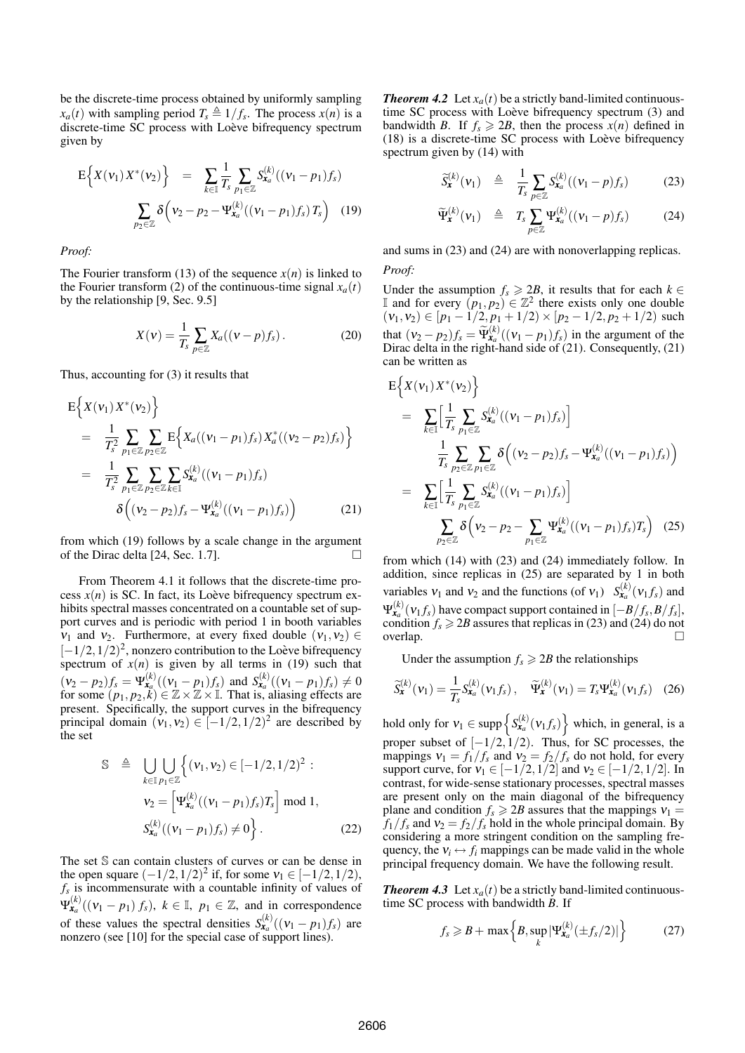be the discrete-time process obtained by uniformly sampling *x<sub>a</sub>*(*t*) with sampling period  $T_s \triangleq 1/f_s$ . The process *x*(*n*) is a discrete-time SC process with Loève bifrequency spectrum given by

$$
E\Big\{X(\nu_1) X^*(\nu_2)\Big\} = \sum_{k \in \mathbb{I}} \frac{1}{T_s} \sum_{p_1 \in \mathbb{Z}} S_{\mathbf{x}_a}^{(k)}((\nu_1 - p_1) f_s)
$$

$$
\sum_{p_2 \in \mathbb{Z}} \delta\Big(\nu_2 - p_2 - \Psi_{\mathbf{x}_a}^{(k)}((\nu_1 - p_1) f_s) T_s\Big) \quad (19)
$$

*Proof:*

The Fourier transform (13) of the sequence  $x(n)$  is linked to the Fourier transform (2) of the continuous-time signal  $x_a(t)$ by the relationship [9, Sec. 9.5]

$$
X(v) = \frac{1}{T_s} \sum_{p \in \mathbb{Z}} X_a((v - p)f_s).
$$
 (20)

Thus, accounting for (3) it results that

$$
E\left\{X(\nu_1)X^*(\nu_2)\right\}
$$
  
=  $\frac{1}{T_s^2}\sum_{p_1\in\mathbb{Z}}\sum_{p_2\in\mathbb{Z}}E\left\{X_a((\nu_1-p_1)f_s)X_a^*((\nu_2-p_2)f_s)\right\}$   
=  $\frac{1}{T_s^2}\sum_{p_1\in\mathbb{Z}}\sum_{p_2\in\mathbb{Z}}\sum_{k\in\mathbb{I}}S_{x_a}^{(k)}((\nu_1-p_1)f_s)$   
 $\delta\left((\nu_2-p_2)f_s-\Psi_{x_a}^{(k)}((\nu_1-p_1)f_s)\right)$  (21)

from which (19) follows by a scale change in the argument of the Dirac delta [24, Sec. 1.7].

From Theorem 4.1 it follows that the discrete-time process  $x(n)$  is SC. In fact, its Loève bifrequency spectrum exhibits spectral masses concentrated on a countable set of support curves and is periodic with period 1 in booth variables  $v_1$  and  $v_2$ . Furthermore, at every fixed double  $(v_1, v_2) \in$  $[-1/2, 1/2)^2$ , nonzero contribution to the Loève bifrequency spectrum of  $x(n)$  is given by all terms in (19) such that  $(v_2 - p_2)f_s = \Psi_{\mathbf{x}_a}^{(k)}((v_1 - p_1)f_s)$  and  $S_{\mathbf{x}_a}^{(k)}((v_1 - p_1)f_s) \neq 0$ for some  $(p_1, p_2, k) \in \mathbb{Z} \times \mathbb{Z} \times \mathbb{I}$ . That is, aliasing effects are present. Specifically, the support curves in the bifrequency principal domain  $(v_1, v_2) \in [-1/2, 1/2)^2$  are described by the set

$$
\mathbb{S} \triangleq \bigcup_{k \in \mathbb{I}} \bigcup_{p_1 \in \mathbb{Z}} \left\{ (\nu_1, \nu_2) \in [-1/2, 1/2)^2 : \\ \nu_2 = \left[ \Psi_{\mathbf{x}_a}^{(k)}((\nu_1 - p_1) f_s) T_s \right] \bmod 1, \\ S_{\mathbf{x}_a}^{(k)}((\nu_1 - p_1) f_s) \neq 0 \right\}.
$$
 (22)

The set S can contain clusters of curves or can be dense in the open square  $(-1/2, 1/2)^2$  if, for some  $v_1 \in [-1/2, 1/2)$ , *fs* is incommensurate with a countable infinity of values of  $\Psi_{\mathbf{x}_a}^{(k)}((v_1 - p_1) f_s), k \in \mathbb{I}, p_1 \in \mathbb{Z}$ , and in correspondence of these values the spectral densities  $S_{\mathbf{x}_a}^{(k)}((v_1 - p_1)f_s)$  are nonzero (see [10] for the special case of support lines).

*Theorem 4.2* Let  $x_a(t)$  be a strictly band-limited continuoustime SC process with Loève bifrequency spectrum (3) and bandwidth *B*. If  $f_s \ge 2B$ , then the process  $x(n)$  defined in  $(18)$  is a discrete-time SC process with Loève bifrequency spectrum given by (14) with

$$
\widetilde{S}_{\mathbf{x}}^{(k)}(\mathbf{v}_1) \triangleq \frac{1}{T_s} \sum_{p \in \mathbb{Z}} S_{\mathbf{x}_a}^{(k)}((\mathbf{v}_1 - p)f_s) \tag{23}
$$

$$
\widetilde{\Psi}_{\mathbf{x}}^{(k)}(\nu_1) \triangleq T_s \sum_{p \in \mathbb{Z}} \Psi_{\mathbf{x}_a}^{(k)}((\nu_1 - p)f_s) \tag{24}
$$

and sums in (23) and (24) are with nonoverlapping replicas.

*Proof:*

Under the assumption  $f_s$  ≥ 2*B*, it results that for each  $k$  ∈ I and for every  $(p_1, p_2) \in \mathbb{Z}^2$  there exists only one double  $(v_1, v_2) \in [p_1 - 1/2, p_1 + 1/2) \times [p_2 - 1/2, p_2 + 1/2)$  such that  $(v_2 - p_2)f_s = \widetilde{\Psi}_{\mathbf{x}}^{(k)}((v_1 - p_1)f_s)$  in the argument of the Direct delta in the view had side of (21). Generately (21) Dirac delta in the right-hand side of (21). Consequently, (21) can be written as

$$
E\Big\{X(v_1)X^*(v_2)\Big\}=\sum_{k\in\mathbb{I}}\Big[\frac{1}{T_s}\sum_{p_1\in\mathbb{Z}}S_{x_a}^{(k)}((v_1-p_1)f_s)\Big]=\sum_{k\in\mathbb{I}}\frac{1}{T_s}\sum_{p_2\in\mathbb{Z}}\sum_{p_1\in\mathbb{Z}}\delta\Big((v_2-p_2)f_s-\Psi_{x_a}^{(k)}((v_1-p_1)f_s)\Big)=\sum_{k\in\mathbb{I}}\Big[\frac{1}{T_s}\sum_{p_1\in\mathbb{Z}}S_{x_a}^{(k)}((v_1-p_1)f_s)\Big]=\sum_{p_2\in\mathbb{Z}}\delta\Big(v_2-p_2-\sum_{p_1\in\mathbb{Z}}\Psi_{x_a}^{(k)}((v_1-p_1)f_s)T_s\Big)\quad(25)
$$

from which (14) with (23) and (24) immediately follow. In addition, since replicas in (25) are separated by 1 in both variables  $v_1$  and  $v_2$  and the functions (of  $v_1$ )  $S^{(k)}_{\mathbf{x}_a}(v_1 f_s)$  and  $\Psi^{(k)}_{\boldsymbol{x}_a}(\boldsymbol{v}_1 f_s)$  have compact support contained in  $[-B/f_s, B/f_s]$ , condition  $f_s \ge 2B$  assures that replicas in (23) and (24) do not overlap.  $\Box$ 

Under the assumption  $f_s \ge 2B$  the relationships

$$
\widetilde{S}_{\mathbf{x}}^{(k)}(\mathbf{v}_1) = \frac{1}{T_s} S_{\mathbf{x}_a}^{(k)}(\mathbf{v}_1 f_s), \quad \widetilde{\Psi}_{\mathbf{x}}^{(k)}(\mathbf{v}_1) = T_s \Psi_{\mathbf{x}_a}^{(k)}(\mathbf{v}_1 f_s) \quad (26)
$$

hold only for  $v_1 \in \text{supp} \left\{ S_{\mathbf{x}_a}^{(k)}(v_1 f_s) \right\}$  which, in general, is a proper subset of  $[-1/2,1/2)$ . Thus, for SC processes, the mappings  $v_1 = f_1/f_s$  and  $v_2 = f_2/f_s$  do not hold, for every support curve, for  $v_1 \in [-1/2, 1/2]$  and  $v_2 \in [-1/2, 1/2]$ . In contrast, for wide-sense stationary processes, spectral masses are present only on the main diagonal of the bifrequency plane and condition  $f_s \ge 2B$  assures that the mappings  $v_1 =$  $f_1/f_s$  and  $v_2 = f_2/f_s$  hold in the whole principal domain. By considering a more stringent condition on the sampling frequency, the  $v_i \leftrightarrow f_i$  mappings can be made valid in the whole principal frequency domain. We have the following result.

*Theorem 4.3* Let  $x_a(t)$  be a strictly band-limited continuoustime SC process with bandwidth *B*. If

$$
f_s \geq B + \max\left\{B, \sup_k |\Psi_{\mathbf{x}_a}^{(k)}(\pm f_s/2)|\right\} \tag{27}
$$